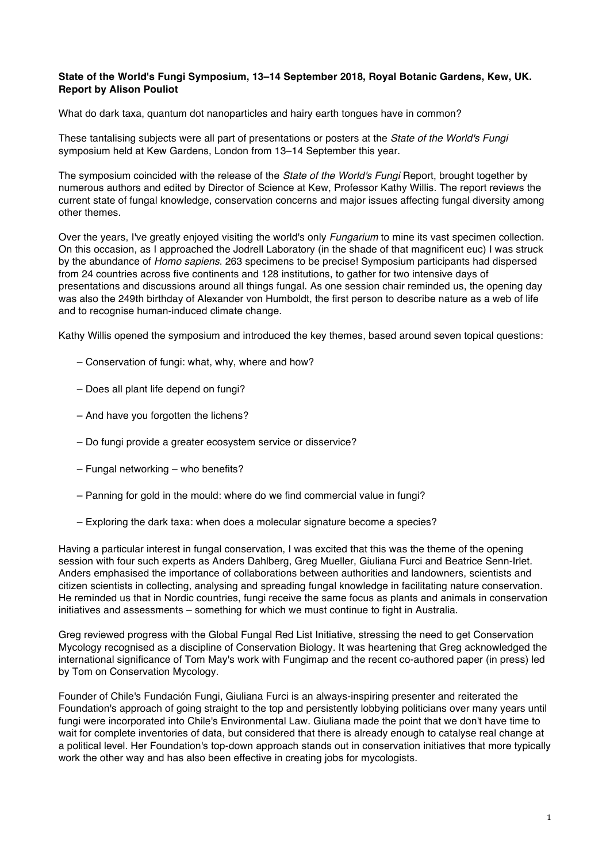## **State of the World's Fungi Symposium, 13–14 September 2018, Royal Botanic Gardens, Kew, UK. Report by Alison Pouliot**

What do dark taxa, quantum dot nanoparticles and hairy earth tongues have in common?

These tantalising subjects were all part of presentations or posters at the *State of the World's Fungi* symposium held at Kew Gardens, London from 13–14 September this year.

The symposium coincided with the release of the *State of the World's Fungi* Report, brought together by numerous authors and edited by Director of Science at Kew, Professor Kathy Willis. The report reviews the current state of fungal knowledge, conservation concerns and major issues affecting fungal diversity among other themes.

Over the years, I've greatly enjoyed visiting the world's only *Fungarium* to mine its vast specimen collection. On this occasion, as I approached the Jodrell Laboratory (in the shade of that magnificent euc) I was struck by the abundance of *Homo sapiens*. 263 specimens to be precise! Symposium participants had dispersed from 24 countries across five continents and 128 institutions, to gather for two intensive days of presentations and discussions around all things fungal. As one session chair reminded us, the opening day was also the 249th birthday of Alexander von Humboldt, the first person to describe nature as a web of life and to recognise human-induced climate change.

Kathy Willis opened the symposium and introduced the key themes, based around seven topical questions:

- Conservation of fungi: what, why, where and how?
- Does all plant life depend on fungi?
- And have you forgotten the lichens?
- Do fungi provide a greater ecosystem service or disservice?
- Fungal networking who benefits?
- Panning for gold in the mould: where do we find commercial value in fungi?
- Exploring the dark taxa: when does a molecular signature become a species?

Having a particular interest in fungal conservation, I was excited that this was the theme of the opening session with four such experts as Anders Dahlberg, Greg Mueller, Giuliana Furci and Beatrice Senn-Irlet. Anders emphasised the importance of collaborations between authorities and landowners, scientists and citizen scientists in collecting, analysing and spreading fungal knowledge in facilitating nature conservation. He reminded us that in Nordic countries, fungi receive the same focus as plants and animals in conservation initiatives and assessments – something for which we must continue to fight in Australia.

Greg reviewed progress with the Global Fungal Red List Initiative, stressing the need to get Conservation Mycology recognised as a discipline of Conservation Biology. It was heartening that Greg acknowledged the international significance of Tom May's work with Fungimap and the recent co-authored paper (in press) led by Tom on Conservation Mycology.

Founder of Chile's Fundación Fungi, Giuliana Furci is an always-inspiring presenter and reiterated the Foundation's approach of going straight to the top and persistently lobbying politicians over many years until fungi were incorporated into Chile's Environmental Law. Giuliana made the point that we don't have time to wait for complete inventories of data, but considered that there is already enough to catalyse real change at a political level. Her Foundation's top-down approach stands out in conservation initiatives that more typically work the other way and has also been effective in creating jobs for mycologists.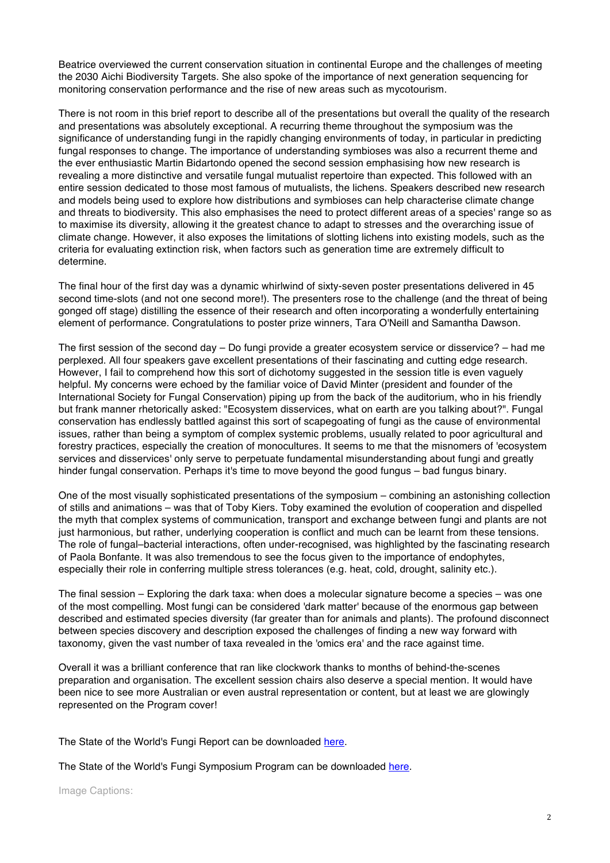Beatrice overviewed the current conservation situation in continental Europe and the challenges of meeting the 2030 Aichi Biodiversity Targets. She also spoke of the importance of next generation sequencing for monitoring conservation performance and the rise of new areas such as mycotourism.

There is not room in this brief report to describe all of the presentations but overall the quality of the research and presentations was absolutely exceptional. A recurring theme throughout the symposium was the significance of understanding fungi in the rapidly changing environments of today, in particular in predicting fungal responses to change. The importance of understanding symbioses was also a recurrent theme and the ever enthusiastic Martin Bidartondo opened the second session emphasising how new research is revealing a more distinctive and versatile fungal mutualist repertoire than expected. This followed with an entire session dedicated to those most famous of mutualists, the lichens. Speakers described new research and models being used to explore how distributions and symbioses can help characterise climate change and threats to biodiversity. This also emphasises the need to protect different areas of a species' range so as to maximise its diversity, allowing it the greatest chance to adapt to stresses and the overarching issue of climate change. However, it also exposes the limitations of slotting lichens into existing models, such as the criteria for evaluating extinction risk, when factors such as generation time are extremely difficult to determine.

The final hour of the first day was a dynamic whirlwind of sixty-seven poster presentations delivered in 45 second time-slots (and not one second more!). The presenters rose to the challenge (and the threat of being gonged off stage) distilling the essence of their research and often incorporating a wonderfully entertaining element of performance. Congratulations to poster prize winners, Tara O'Neill and Samantha Dawson.

The first session of the second day – Do fungi provide a greater ecosystem service or disservice? – had me perplexed. All four speakers gave excellent presentations of their fascinating and cutting edge research. However, I fail to comprehend how this sort of dichotomy suggested in the session title is even vaguely helpful. My concerns were echoed by the familiar voice of David Minter (president and founder of the International Society for Fungal Conservation) piping up from the back of the auditorium, who in his friendly but frank manner rhetorically asked: "Ecosystem disservices, what on earth are you talking about?". Fungal conservation has endlessly battled against this sort of scapegoating of fungi as the cause of environmental issues, rather than being a symptom of complex systemic problems, usually related to poor agricultural and forestry practices, especially the creation of monocultures. It seems to me that the misnomers of 'ecosystem services and disservices' only serve to perpetuate fundamental misunderstanding about fungi and greatly hinder fungal conservation. Perhaps it's time to move beyond the good fungus – bad fungus binary.

One of the most visually sophisticated presentations of the symposium – combining an astonishing collection of stills and animations – was that of Toby Kiers. Toby examined the evolution of cooperation and dispelled the myth that complex systems of communication, transport and exchange between fungi and plants are not just harmonious, but rather, underlying cooperation is conflict and much can be learnt from these tensions. The role of fungal–bacterial interactions, often under-recognised, was highlighted by the fascinating research of Paola Bonfante. It was also tremendous to see the focus given to the importance of endophytes, especially their role in conferring multiple stress tolerances (e.g. heat, cold, drought, salinity etc.).

The final session – Exploring the dark taxa: when does a molecular signature become a species – was one of the most compelling. Most fungi can be considered 'dark matter' because of the enormous gap between described and estimated species diversity (far greater than for animals and plants). The profound disconnect between species discovery and description exposed the challenges of finding a new way forward with taxonomy, given the vast number of taxa revealed in the 'omics era' and the race against time.

Overall it was a brilliant conference that ran like clockwork thanks to months of behind-the-scenes preparation and organisation. The excellent session chairs also deserve a special mention. It would have been nice to see more Australian or even austral representation or content, but at least we are glowingly represented on the Program cover!

The State of the World's Fungi Report can be downloaded here.

The State of the World's Fungi Symposium Program can be downloaded here.

Image Captions: